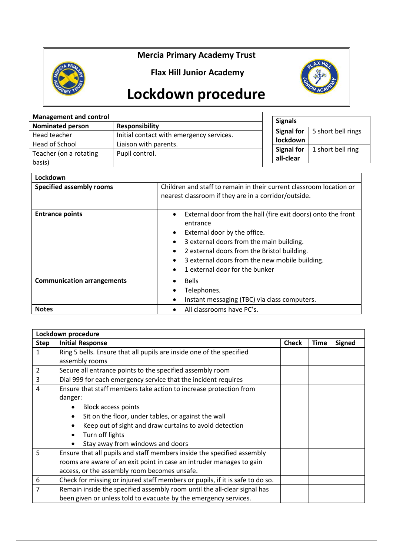## **Mercia Primary Academy Trust**



**Flax Hill Junior Academy**



## **Lockdown procedure**

| <b>Management and control</b> |                                          | <b>Signals</b>                 |                    |  |
|-------------------------------|------------------------------------------|--------------------------------|--------------------|--|
| <b>Nominated person</b>       | <b>Responsibility</b>                    |                                |                    |  |
| Head teacher                  | Initial contact with emergency services. | Signal for                     | 5 short bell rings |  |
| Head of School                | Liaison with parents.                    | lockdown                       |                    |  |
| Teacher (on a rotating        | Pupil control.                           | <b>Signal for</b><br>all-clear | 1 short bell ring  |  |
| basis)                        |                                          |                                |                    |  |

| Lockdown                          |                                                                                                                                                                                                                                                                                                                |  |  |  |
|-----------------------------------|----------------------------------------------------------------------------------------------------------------------------------------------------------------------------------------------------------------------------------------------------------------------------------------------------------------|--|--|--|
| <b>Specified assembly rooms</b>   | Children and staff to remain in their current classroom location or<br>nearest classroom if they are in a corridor/outside.                                                                                                                                                                                    |  |  |  |
| <b>Entrance points</b>            | External door from the hall (fire exit doors) onto the front<br>٠<br>entrance<br>External door by the office.<br>$\bullet$<br>3 external doors from the main building.<br>2 external doors from the Bristol building.<br>3 external doors from the new mobile building.<br>٠<br>1 external door for the bunker |  |  |  |
| <b>Communication arrangements</b> | <b>Bells</b><br>Telephones.<br>Instant messaging (TBC) via class computers.                                                                                                                                                                                                                                    |  |  |  |
| <b>Notes</b>                      | All classrooms have PC's.                                                                                                                                                                                                                                                                                      |  |  |  |

| Lockdown procedure |                                                                               |  |             |               |  |  |
|--------------------|-------------------------------------------------------------------------------|--|-------------|---------------|--|--|
| <b>Step</b>        | <b>Initial Response</b>                                                       |  | <b>Time</b> | <b>Signed</b> |  |  |
| 1                  | Ring 5 bells. Ensure that all pupils are inside one of the specified          |  |             |               |  |  |
|                    | assembly rooms                                                                |  |             |               |  |  |
| 2                  | Secure all entrance points to the specified assembly room                     |  |             |               |  |  |
| 3                  | Dial 999 for each emergency service that the incident requires                |  |             |               |  |  |
| 4                  | Ensure that staff members take action to increase protection from             |  |             |               |  |  |
|                    | danger:                                                                       |  |             |               |  |  |
|                    | <b>Block access points</b>                                                    |  |             |               |  |  |
|                    | Sit on the floor, under tables, or against the wall                           |  |             |               |  |  |
|                    | Keep out of sight and draw curtains to avoid detection                        |  |             |               |  |  |
|                    | Turn off lights                                                               |  |             |               |  |  |
|                    | Stay away from windows and doors                                              |  |             |               |  |  |
| 5                  | Ensure that all pupils and staff members inside the specified assembly        |  |             |               |  |  |
|                    | rooms are aware of an exit point in case an intruder manages to gain          |  |             |               |  |  |
|                    | access, or the assembly room becomes unsafe.                                  |  |             |               |  |  |
| 6                  | Check for missing or injured staff members or pupils, if it is safe to do so. |  |             |               |  |  |
| 7                  | Remain inside the specified assembly room until the all-clear signal has      |  |             |               |  |  |
|                    | been given or unless told to evacuate by the emergency services.              |  |             |               |  |  |